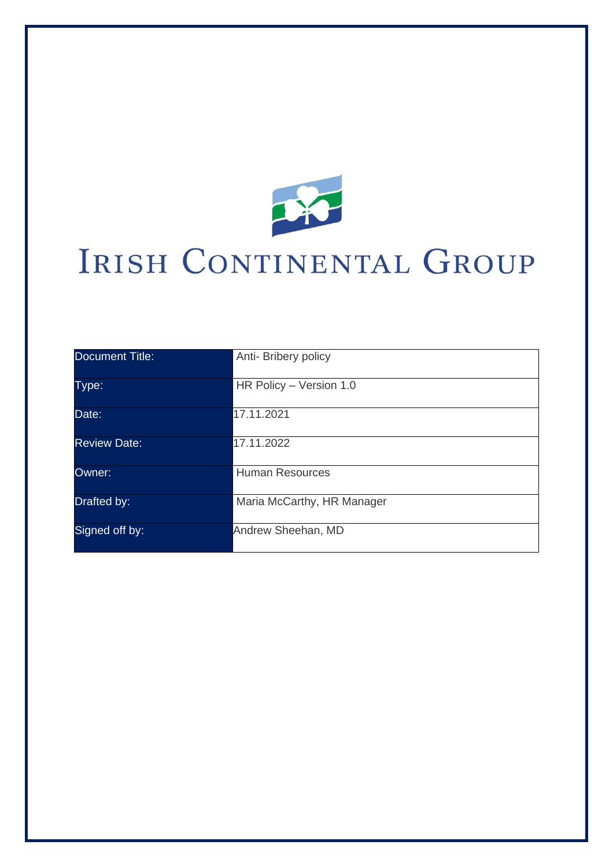

# IRISH CONTINENTAL GROUP

| <b>Document Title:</b> | Anti- Bribery policy       |
|------------------------|----------------------------|
| Type:                  | HR Policy - Version 1.0    |
| Date:                  | 17.11.2021                 |
| <b>Review Date:</b>    | 17.11.2022                 |
| Owner:                 | <b>Human Resources</b>     |
| Drafted by:            | Maria McCarthy, HR Manager |
| Signed off by:         | Andrew Sheehan, MD         |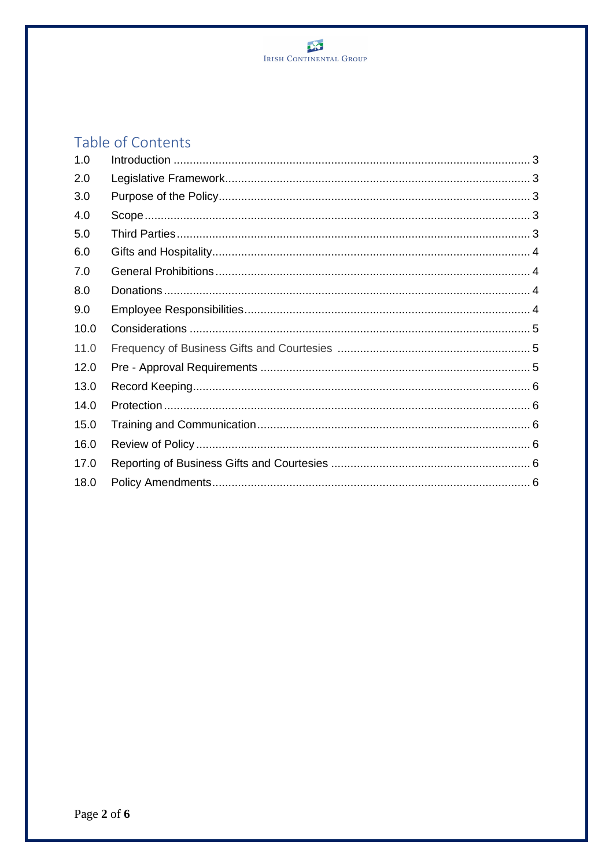

# Table of Contents

| 1.0  |  |
|------|--|
| 2.0  |  |
| 3.0  |  |
| 4.0  |  |
| 5.0  |  |
| 6.0  |  |
| 7.0  |  |
| 8.0  |  |
| 9.0  |  |
| 10.0 |  |
| 11.0 |  |
| 12.0 |  |
| 13.0 |  |
| 14.0 |  |
| 15.0 |  |
| 16.0 |  |
| 17.0 |  |
| 18.0 |  |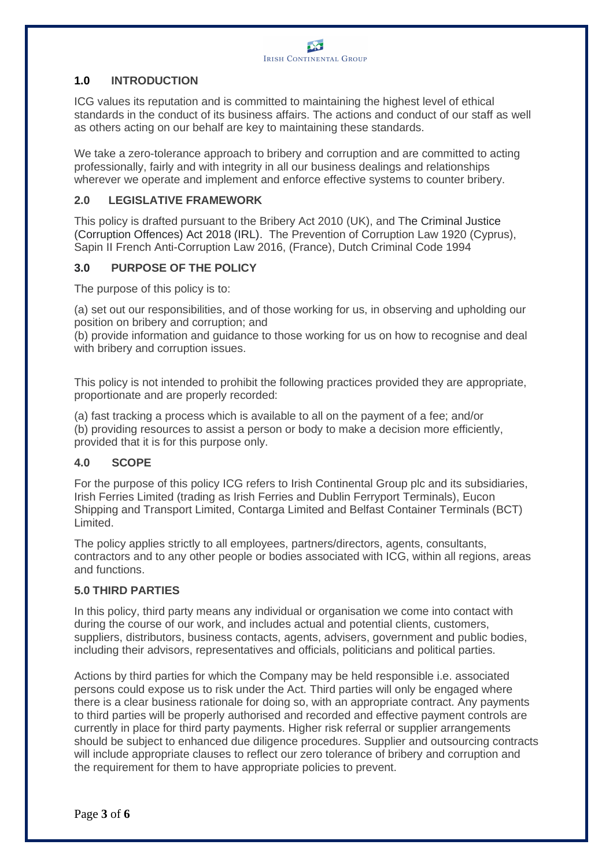

# **1.0 INTRODUCTION**

ICG values its reputation and is committed to maintaining the highest level of ethical standards in the conduct of its business affairs. The actions and conduct of our staff as well as others acting on our behalf are key to maintaining these standards.

We take a zero-tolerance approach to bribery and corruption and are committed to acting professionally, fairly and with integrity in all our business dealings and relationships wherever we operate and implement and enforce effective systems to counter bribery.

# **2.0 LEGISLATIVE FRAMEWORK**

This policy is drafted pursuant to the Bribery Act 2010 (UK), and The Criminal Justice (Corruption Offences) Act 2018 (IRL). The Prevention of Corruption Law 1920 (Cyprus), Sapin II French Anti-Corruption Law 2016, (France), Dutch Criminal Code 1994

# **3.0 PURPOSE OF THE POLICY**

The purpose of this policy is to:

(a) set out our responsibilities, and of those working for us, in observing and upholding our position on bribery and corruption; and

(b) provide information and guidance to those working for us on how to recognise and deal with bribery and corruption issues.

This policy is not intended to prohibit the following practices provided they are appropriate, proportionate and are properly recorded:

(a) fast tracking a process which is available to all on the payment of a fee; and/or (b) providing resources to assist a person or body to make a decision more efficiently, provided that it is for this purpose only.

# **4.0 SCOPE**

For the purpose of this policy ICG refers to Irish Continental Group plc and its subsidiaries, Irish Ferries Limited (trading as Irish Ferries and Dublin Ferryport Terminals), Eucon Shipping and Transport Limited, Contarga Limited and Belfast Container Terminals (BCT) Limited.

The policy applies strictly to all employees, partners/directors, agents, consultants, contractors and to any other people or bodies associated with ICG, within all regions, areas and functions.

#### **5.0 THIRD PARTIES**

In this policy, third party means any individual or organisation we come into contact with during the course of our work, and includes actual and potential clients, customers, suppliers, distributors, business contacts, agents, advisers, government and public bodies, including their advisors, representatives and officials, politicians and political parties.

Actions by third parties for which the Company may be held responsible i.e. associated persons could expose us to risk under the Act. Third parties will only be engaged where there is a clear business rationale for doing so, with an appropriate contract. Any payments to third parties will be properly authorised and recorded and effective payment controls are currently in place for third party payments. Higher risk referral or supplier arrangements should be subject to enhanced due diligence procedures. Supplier and outsourcing contracts will include appropriate clauses to reflect our zero tolerance of bribery and corruption and the requirement for them to have appropriate policies to prevent.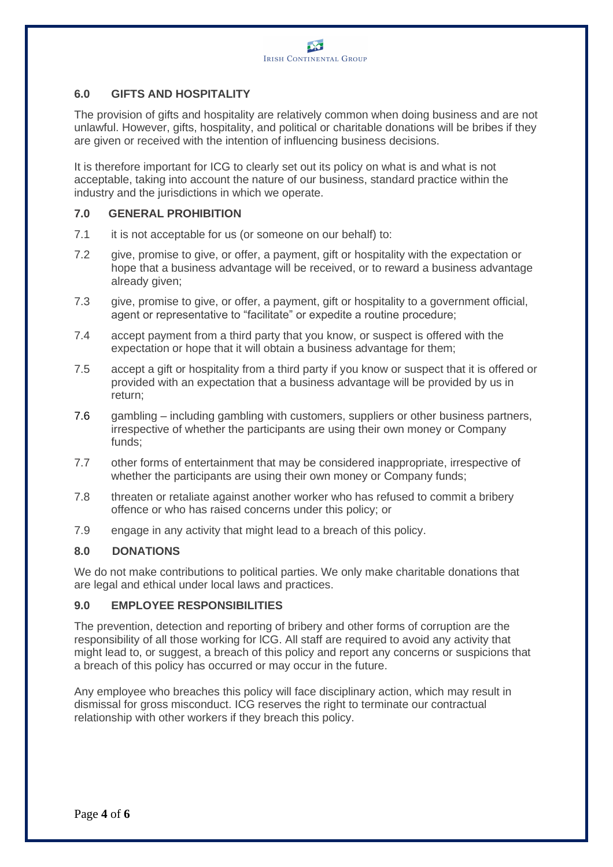# **6.0 GIFTS AND HOSPITALITY**

The provision of gifts and hospitality are relatively common when doing business and are not unlawful. However, gifts, hospitality, and political or charitable donations will be bribes if they are given or received with the intention of influencing business decisions.

It is therefore important for ICG to clearly set out its policy on what is and what is not acceptable, taking into account the nature of our business, standard practice within the industry and the jurisdictions in which we operate.

#### **7.0 GENERAL PROHIBITION**

- 7.1 it is not acceptable for us (or someone on our behalf) to:
- 7.2 give, promise to give, or offer, a payment, gift or hospitality with the expectation or hope that a business advantage will be received, or to reward a business advantage already given;
- 7.3 give, promise to give, or offer, a payment, gift or hospitality to a government official, agent or representative to "facilitate" or expedite a routine procedure;
- 7.4 accept payment from a third party that you know, or suspect is offered with the expectation or hope that it will obtain a business advantage for them;
- 7.5 accept a gift or hospitality from a third party if you know or suspect that it is offered or provided with an expectation that a business advantage will be provided by us in return;
- 7.6 gambling including gambling with customers, suppliers or other business partners, irrespective of whether the participants are using their own money or Company funds;
- 7.7 other forms of entertainment that may be considered inappropriate, irrespective of whether the participants are using their own money or Company funds;
- 7.8 threaten or retaliate against another worker who has refused to commit a bribery offence or who has raised concerns under this policy; or
- 7.9 engage in any activity that might lead to a breach of this policy.

#### **8.0 DONATIONS**

We do not make contributions to political parties. We only make charitable donations that are legal and ethical under local laws and practices.

#### **9.0 EMPLOYEE RESPONSIBILITIES**

The prevention, detection and reporting of bribery and other forms of corruption are the responsibility of all those working for lCG. All staff are required to avoid any activity that might lead to, or suggest, a breach of this policy and report any concerns or suspicions that a breach of this policy has occurred or may occur in the future.

Any employee who breaches this policy will face disciplinary action, which may result in dismissal for gross misconduct. ICG reserves the right to terminate our contractual relationship with other workers if they breach this policy.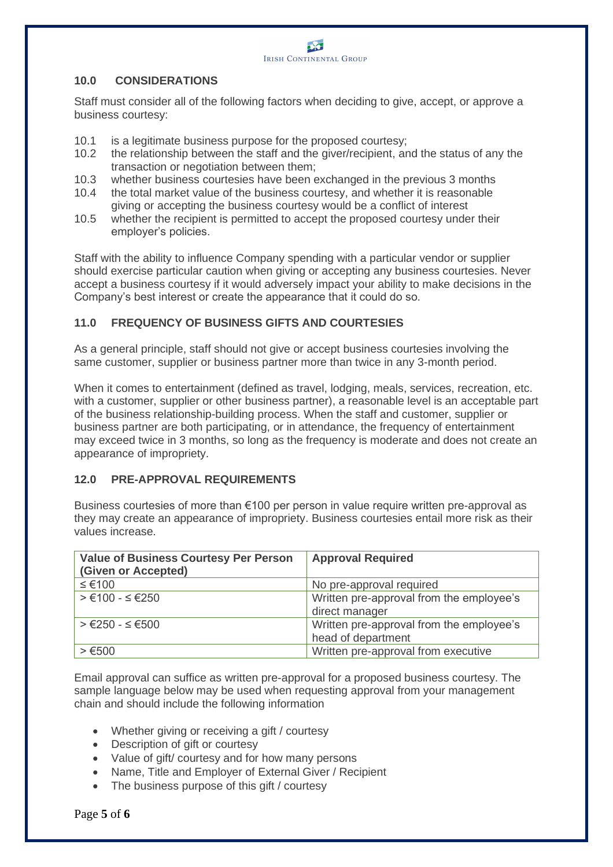

# **10.0 CONSIDERATIONS**

Staff must consider all of the following factors when deciding to give, accept, or approve a business courtesy:

- 10.1 is a legitimate business purpose for the proposed courtesy;<br>10.2 the relationship between the staff and the giver/recipient, an
- the relationship between the staff and the giver/recipient, and the status of any the transaction or negotiation between them;
- 10.3 whether business courtesies have been exchanged in the previous 3 months
- 10.4 the total market value of the business courtesy, and whether it is reasonable giving or accepting the business courtesy would be a conflict of interest
- 10.5 whether the recipient is permitted to accept the proposed courtesy under their employer's policies.

Staff with the ability to influence Company spending with a particular vendor or supplier should exercise particular caution when giving or accepting any business courtesies. Never accept a business courtesy if it would adversely impact your ability to make decisions in the Company's best interest or create the appearance that it could do so.

# **11.0 FREQUENCY OF BUSINESS GIFTS AND COURTESIES**

As a general principle, staff should not give or accept business courtesies involving the same customer, supplier or business partner more than twice in any 3-month period.

When it comes to entertainment (defined as travel, lodging, meals, services, recreation, etc. with a customer, supplier or other business partner), a reasonable level is an acceptable part of the business relationship-building process. When the staff and customer, supplier or business partner are both participating, or in attendance, the frequency of entertainment may exceed twice in 3 months, so long as the frequency is moderate and does not create an appearance of impropriety.

#### **12.0 PRE-APPROVAL REQUIREMENTS**

Business courtesies of more than €100 per person in value require written pre-approval as they may create an appearance of impropriety. Business courtesies entail more risk as their values increase.

| <b>Value of Business Courtesy Per Person</b><br>(Given or Accepted) | <b>Approval Required</b>                                       |
|---------------------------------------------------------------------|----------------------------------------------------------------|
| ≤ €100                                                              | No pre-approval required                                       |
| $> €100 - ≤ €250$                                                   | Written pre-approval from the employee's<br>direct manager     |
| $> €250 - ≤ €500$                                                   | Written pre-approval from the employee's<br>head of department |
| > €500                                                              | Written pre-approval from executive                            |

Email approval can suffice as written pre-approval for a proposed business courtesy. The sample language below may be used when requesting approval from your management chain and should include the following information

- Whether giving or receiving a gift / courtesy
- Description of gift or courtesy
- Value of gift/ courtesy and for how many persons
- Name, Title and Employer of External Giver / Recipient
- The business purpose of this gift / courtesy